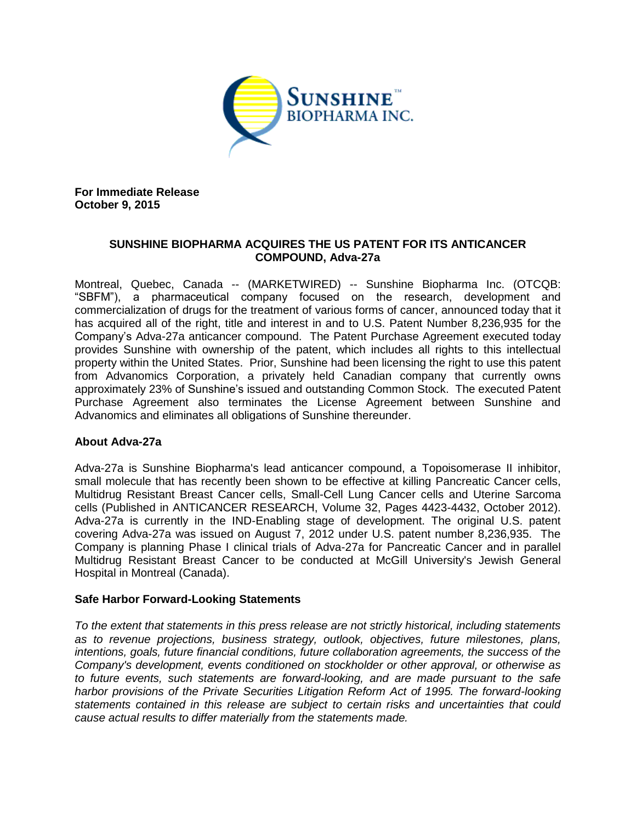

**For Immediate Release October 9, 2015**

## **SUNSHINE BIOPHARMA ACQUIRES THE US PATENT FOR ITS ANTICANCER COMPOUND, Adva-27a**

Montreal, Quebec, Canada -- (MARKETWIRED) -- Sunshine Biopharma Inc. (OTCQB: "SBFM"), a pharmaceutical company focused on the research, development and commercialization of drugs for the treatment of various forms of cancer, announced today that it has acquired all of the right, title and interest in and to U.S. Patent Number 8,236,935 for the Company's Adva-27a anticancer compound. The Patent Purchase Agreement executed today provides Sunshine with ownership of the patent, which includes all rights to this intellectual property within the United States. Prior, Sunshine had been licensing the right to use this patent from Advanomics Corporation, a privately held Canadian company that currently owns approximately 23% of Sunshine's issued and outstanding Common Stock. The executed Patent Purchase Agreement also terminates the License Agreement between Sunshine and Advanomics and eliminates all obligations of Sunshine thereunder.

## **About Adva-27a**

Adva-27a is Sunshine Biopharma's lead anticancer compound, a Topoisomerase II inhibitor, small molecule that has recently been shown to be effective at killing Pancreatic Cancer cells, Multidrug Resistant Breast Cancer cells, Small-Cell Lung Cancer cells and Uterine Sarcoma cells (Published in ANTICANCER RESEARCH, Volume 32, Pages 4423-4432, October 2012). Adva-27a is currently in the IND-Enabling stage of development. The original U.S. patent covering Adva-27a was issued on August 7, 2012 under U.S. patent number 8,236,935. The Company is planning Phase I clinical trials of Adva-27a for Pancreatic Cancer and in parallel Multidrug Resistant Breast Cancer to be conducted at McGill University's Jewish General Hospital in Montreal (Canada).

## **Safe Harbor Forward-Looking Statements**

*To the extent that statements in this press release are not strictly historical, including statements as to revenue projections, business strategy, outlook, objectives, future milestones, plans, intentions, goals, future financial conditions, future collaboration agreements, the success of the Company's development, events conditioned on stockholder or other approval, or otherwise as to future events, such statements are forward-looking, and are made pursuant to the safe harbor provisions of the Private Securities Litigation Reform Act of 1995. The forward-looking statements contained in this release are subject to certain risks and uncertainties that could cause actual results to differ materially from the statements made.*